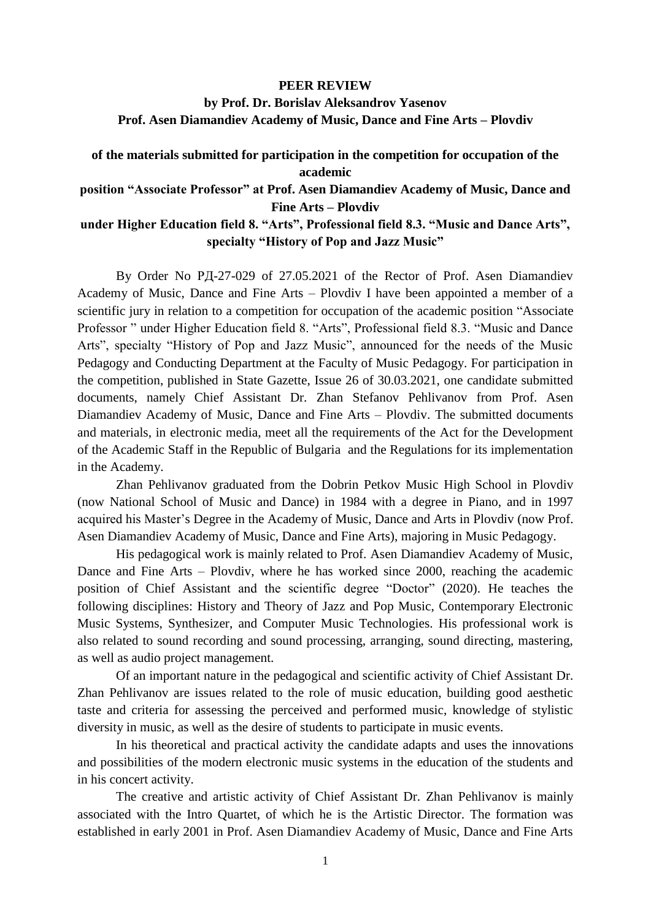## **PEER REVIEW**

**by Prof. Dr. Borislav Aleksandrov Yasenov Prof. Asen Diamandiev Academy of Music, Dance and Fine Arts – Plovdiv**

## **of the materials submitted for participation in the competition for occupation of the academic**

## **position "Associate Professor" at Prof. Asen Diamandiev Academy of Music, Dance and Fine Arts – Plovdiv**

## **under Higher Education field 8. "Arts", Professional field 8.3. "Music and Dance Arts", specialty "History of Pop and Jazz Music"**

By Order No РД-27-029 of 27.05.2021 of the Rector of Prof. Asen Diamandiev Academy of Music, Dance and Fine Arts – Plovdiv I have been appointed a member of a scientific jury in relation to a competition for occupation of the academic position "Associate Professor " under Higher Education field 8. "Arts", Professional field 8.3. "Music and Dance Arts", specialty "History of Pop and Jazz Music", announced for the needs of the Music Pedagogy and Conducting Department at the Faculty of Music Pedagogy. For participation in the competition, published in State Gazette, Issue 26 of 30.03.2021, one candidate submitted documents, namely Chief Assistant Dr. Zhan Stefanov Pehlivanov from Prof. Asen Diamandiev Academy of Music, Dance and Fine Arts – Plovdiv. The submitted documents and materials, in electronic media, meet all the requirements of the Act for the Development of the Academic Staff in the Republic of Bulgaria and the Regulations for its implementation in the Academy.

Zhan Pehlivanov graduated from the Dobrin Petkov Music High School in Plovdiv (now National School of Music and Dance) in 1984 with a degree in Piano, and in 1997 acquired his Master's Degree in the Academy of Music, Dance and Arts in Plovdiv (now Prof. Asen Diamandiev Academy of Music, Dance and Fine Arts), majoring in Music Pedagogy.

His pedagogical work is mainly related to Prof. Asen Diamandiev Academy of Music, Dance and Fine Arts – Plovdiv, where he has worked since 2000, reaching the academic position of Chief Assistant and the scientific degree "Doctor" (2020). He teaches the following disciplines: History and Theory of Jazz and Pop Music, Contemporary Electronic Music Systems, Synthesizer, and Computer Music Technologies. His professional work is also related to sound recording and sound processing, arranging, sound directing, mastering, as well as audio project management.

Of an important nature in the pedagogical and scientific activity of Chief Assistant Dr. Zhan Pehlivanov are issues related to the role of music education, building good aesthetic taste and criteria for assessing the perceived and performed music, knowledge of stylistic diversity in music, as well as the desire of students to participate in music events.

In his theoretical and practical activity the candidate adapts and uses the innovations and possibilities of the modern electronic music systems in the education of the students and in his concert activity.

The creative and artistic activity of Chief Assistant Dr. Zhan Pehlivanov is mainly associated with the Intro Quartet, of which he is the Artistic Director. The formation was established in early 2001 in Prof. Asen Diamandiev Academy of Music, Dance and Fine Arts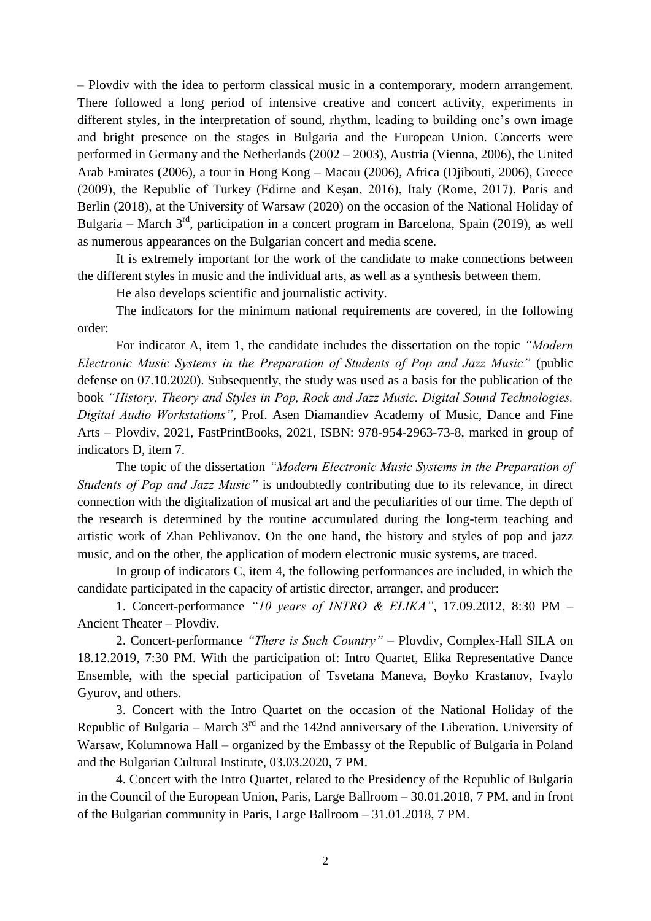– Plovdiv with the idea to perform classical music in a contemporary, modern arrangement. There followed a long period of intensive creative and concert activity, experiments in different styles, in the interpretation of sound, rhythm, leading to building one's own image and bright presence on the stages in Bulgaria and the European Union. Concerts were performed in Germany and the Netherlands (2002 – 2003), Austria (Vienna, 2006), the United Arab Emirates (2006), a tour in Hong Kong – Macau (2006), Africa (Djibouti, 2006), Greece (2009), the Republic of Turkey (Edirne and Keşan, 2016), Italy (Rome, 2017), Paris and Berlin (2018), at the University of Warsaw (2020) on the occasion of the National Holiday of Bulgaria – March 3<sup>rd</sup>, participation in a concert program in Barcelona, Spain (2019), as well as numerous appearances on the Bulgarian concert and media scene.

It is extremely important for the work of the candidate to make connections between the different styles in music and the individual arts, as well as a synthesis between them.

He also develops scientific and journalistic activity.

The indicators for the minimum national requirements are covered, in the following order:

For indicator A, item 1, the candidate includes the dissertation on the topic *"Modern Electronic Music Systems in the Preparation of Students of Pop and Jazz Music"* (public defense on 07.10.2020). Subsequently, the study was used as a basis for the publication of the book *"History, Theory and Styles in Pop, Rock and Jazz Music. Digital Sound Technologies. Digital Audio Workstations"*, Prof. Asen Diamandiev Academy of Music, Dance and Fine Arts – Plovdiv, 2021, FastPrintBooks, 2021, ISBN: 978-954-2963-73-8, marked in group of indicators D, item 7.

The topic of the dissertation *"Modern Electronic Music Systems in the Preparation of Students of Pop and Jazz Music"* is undoubtedly contributing due to its relevance, in direct connection with the digitalization of musical art and the peculiarities of our time. The depth of the research is determined by the routine accumulated during the long-term teaching and artistic work of Zhan Pehlivanov. On the one hand, the history and styles of pop and jazz music, and on the other, the application of modern electronic music systems, are traced.

In group of indicators C, item 4, the following performances are included, in which the candidate participated in the capacity of artistic director, arranger, and producer:

1. Concert-performance *"10 years of INTRO & ELIKA"*, 17.09.2012, 8:30 PM – Ancient Theater – Plovdiv.

2. Concert-performance *"There is Such Country"* – Plovdiv, Complex-Hall SILA on 18.12.2019, 7:30 PM. With the participation of: Intro Quartet, Elika Representative Dance Ensemble, with the special participation of Tsvetana Maneva, Boyko Krastanov, Ivaylo Gyurov, and others.

3. Concert with the Intro Quartet on the occasion of the National Holiday of the Republic of Bulgaria – March  $3<sup>rd</sup>$  and the 142nd anniversary of the Liberation. University of Warsaw, Kolumnowa Hall – organized by the Embassy of the Republic of Bulgaria in Poland and the Bulgarian Cultural Institute, 03.03.2020, 7 PM.

4. Concert with the Intro Quartet, related to the Presidency of the Republic of Bulgaria in the Council of the European Union, Paris, Large Ballroom – 30.01.2018, 7 PM, and in front of the Bulgarian community in Paris, Large Ballroom – 31.01.2018, 7 PM.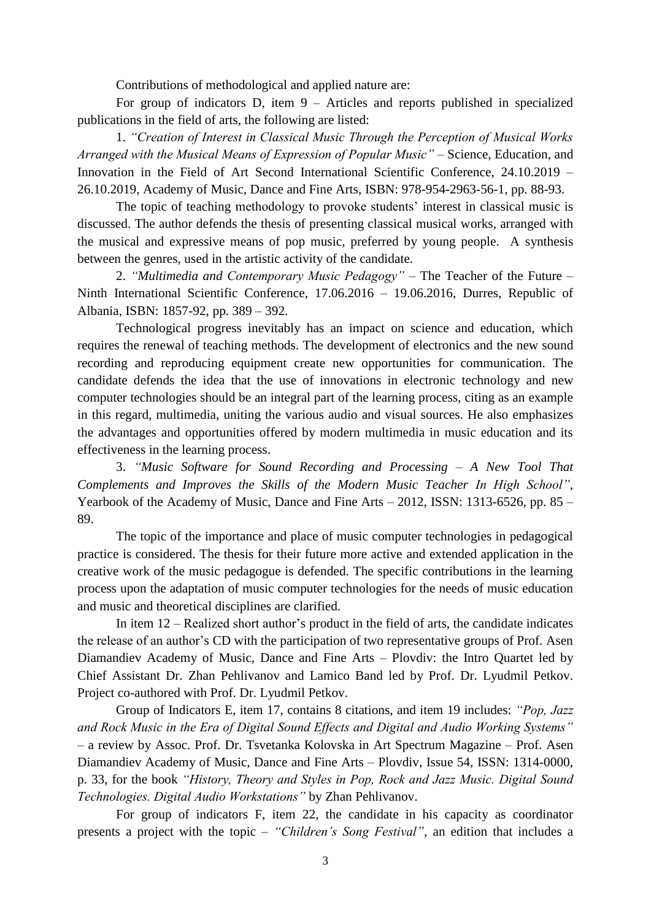Contributions of methodological and applied nature are:

For group of indicators D, item 9 – Articles and reports published in specialized publications in the field of arts, the following are listed:

1. *"Creation of Interest in Classical Music Through the Perception of Musical Works Arranged with the Musical Means of Expression of Popular Music"* – Science, Education, and Innovation in the Field of Art Second International Scientific Conference, 24.10.2019 – 26.10.2019, Academy of Music, Dance and Fine Arts, ISBN: 978-954-2963-56-1, pp. 88-93.

The topic of teaching methodology to provoke students' interest in classical music is discussed. The author defends the thesis of presenting classical musical works, arranged with the musical and expressive means of pop music, preferred by young people. A synthesis between the genres, used in the artistic activity of the candidate.

2. *"Multimedia and Contemporary Music Pedagogy"* – The Teacher of the Future – Ninth International Scientific Conference, 17.06.2016 – 19.06.2016, Durres, Republic of Albania, ISBN: 1857-92, pp. 389 – 392.

Technological progress inevitably has an impact on science and education, which requires the renewal of teaching methods. The development of electronics and the new sound recording and reproducing equipment create new opportunities for communication. The candidate defends the idea that the use of innovations in electronic technology and new computer technologies should be an integral part of the learning process, citing as an example in this regard, multimedia, uniting the various audio and visual sources. He also emphasizes the advantages and opportunities offered by modern multimedia in music education and its effectiveness in the learning process.

3. *"Music Software for Sound Recording and Processing – A New Tool That Complements and Improves the Skills of the Modern Music Teacher In High School"*, Yearbook of the Academy of Music, Dance and Fine Arts – 2012, ISSN: 1313-6526, pp. 85 – 89.

The topic of the importance and place of music computer technologies in pedagogical practice is considered. The thesis for their future more active and extended application in the creative work of the music pedagogue is defended. The specific contributions in the learning process upon the adaptation of music computer technologies for the needs of music education and music and theoretical disciplines are clarified.

In item 12 – Realized short author's product in the field of arts, the candidate indicates the release of an author's CD with the participation of two representative groups of Prof. Asen Diamandiev Academy of Music, Dance and Fine Arts – Plovdiv: the Intro Quartet led by Chief Assistant Dr. Zhan Pehlivanov and Lamico Band led by Prof. Dr. Lyudmil Petkov. Project co-authored with Prof. Dr. Lyudmil Petkov.

Group of Indicators E, item 17, contains 8 citations, and item 19 includes: *"Pop, Jazz and Rock Music in the Era of Digital Sound Effects and Digital and Audio Working Systems"* – a review by Assoc. Prof. Dr. Tsvetanka Kolovska in Art Spectrum Magazine – Prof. Asen Diamandiev Academy of Music, Dance and Fine Arts – Plovdiv, Issue 54, ISSN: 1314-0000, p. 33, for the book *"History, Theory and Styles in Pop, Rock and Jazz Music. Digital Sound Technologies. Digital Audio Workstations"* by Zhan Pehlivanov.

For group of indicators F, item 22, the candidate in his capacity as coordinator presents a project with the topic – *"Children's Song Festival"*, an edition that includes a